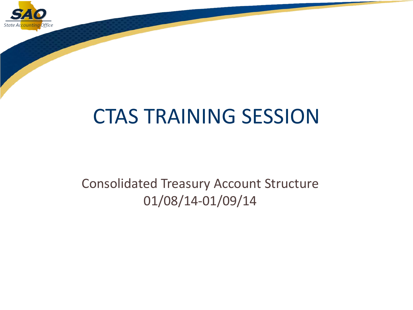

# CTAS TRAINING SESSION

#### Consolidated Treasury Account Structure 01/08/14-01/09/14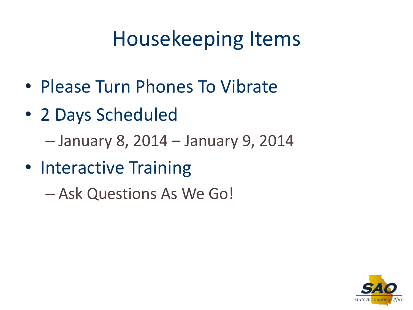# Housekeeping Items

- Please Turn Phones To Vibrate
- 2 Days Scheduled

– January 8, 2014 – January 9, 2014

• Interactive Training

– Ask Questions As We Go!

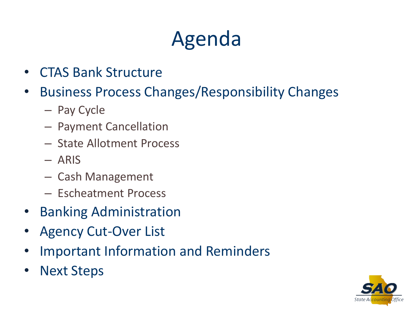# Agenda

- CTAS Bank Structure
- Business Process Changes/Responsibility Changes
	- Pay Cycle
	- Payment Cancellation
	- State Allotment Process
	- ARIS
	- Cash Management
	- Escheatment Process
- Banking Administration
- Agency Cut-Over List
- Important Information and Reminders
- **Next Steps**

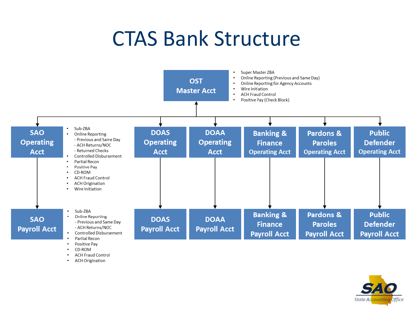#### CTAS Bank Structure



- CD-ROM
- **ACH Fraud Control**
- **ACH Origination** ٠

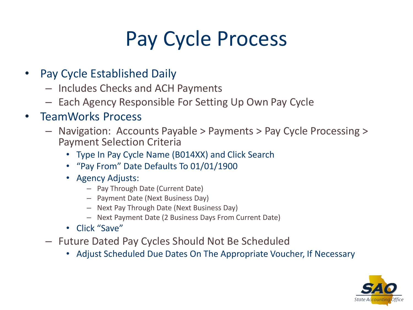# Pay Cycle Process

- Pay Cycle Established Daily
	- Includes Checks and ACH Payments
	- Each Agency Responsible For Setting Up Own Pay Cycle

#### • TeamWorks Process

- Navigation: Accounts Payable > Payments > Pay Cycle Processing > Payment Selection Criteria
	- Type In Pay Cycle Name (B014XX) and Click Search
	- "Pay From" Date Defaults To 01/01/1900
	- Agency Adjusts:
		- Pay Through Date (Current Date)
		- Payment Date (Next Business Day)
		- Next Pay Through Date (Next Business Day)
		- Next Payment Date (2 Business Days From Current Date)
	- Click "Save"
- Future Dated Pay Cycles Should Not Be Scheduled
	- Adjust Scheduled Due Dates On The Appropriate Voucher, If Necessary

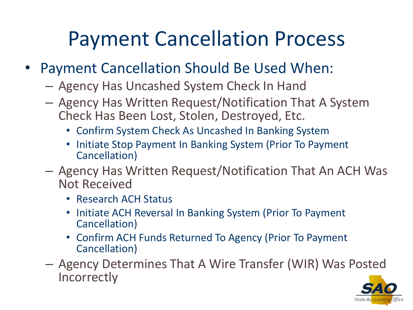## Payment Cancellation Process

- Payment Cancellation Should Be Used When:
	- Agency Has Uncashed System Check In Hand
	- Agency Has Written Request/Notification That A System Check Has Been Lost, Stolen, Destroyed, Etc.
		- Confirm System Check As Uncashed In Banking System
		- Initiate Stop Payment In Banking System (Prior To Payment Cancellation)
	- Agency Has Written Request/Notification That An ACH Was Not Received
		- Research ACH Status
		- Initiate ACH Reversal In Banking System (Prior To Payment Cancellation)
		- Confirm ACH Funds Returned To Agency (Prior To Payment Cancellation)
	- Agency Determines That A Wire Transfer (WIR) Was Posted **Incorrectly**

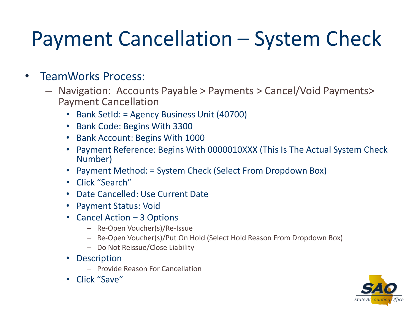# Payment Cancellation – System Check

#### • TeamWorks Process:

- Navigation: Accounts Payable > Payments > Cancel/Void Payments> Payment Cancellation
	- Bank SetId: = Agency Business Unit (40700)
	- Bank Code: Begins With 3300
	- Bank Account: Begins With 1000
	- Payment Reference: Begins With 0000010XXX (This Is The Actual System Check Number)
	- Payment Method: = System Check (Select From Dropdown Box)
	- Click "Search"
	- Date Cancelled: Use Current Date
	- Payment Status: Void
	- Cancel Action 3 Options
		- Re-Open Voucher(s)/Re-Issue
		- Re-Open Voucher(s)/Put On Hold (Select Hold Reason From Dropdown Box)
		- Do Not Reissue/Close Liability
	- Description
		- Provide Reason For Cancellation
	- Click "Save"

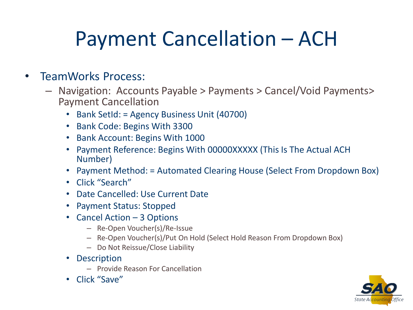# Payment Cancellation – ACH

#### • TeamWorks Process:

- Navigation: Accounts Payable > Payments > Cancel/Void Payments> Payment Cancellation
	- Bank SetId: = Agency Business Unit (40700)
	- Bank Code: Begins With 3300
	- Bank Account: Begins With 1000
	- Payment Reference: Begins With 00000XXXXX (This Is The Actual ACH Number)
	- Payment Method: = Automated Clearing House (Select From Dropdown Box)
	- Click "Search"
	- Date Cancelled: Use Current Date
	- Payment Status: Stopped
	- Cancel Action 3 Options
		- Re-Open Voucher(s)/Re-Issue
		- Re-Open Voucher(s)/Put On Hold (Select Hold Reason From Dropdown Box)
		- Do Not Reissue/Close Liability
	- Description
		- Provide Reason For Cancellation
	- Click "Save"

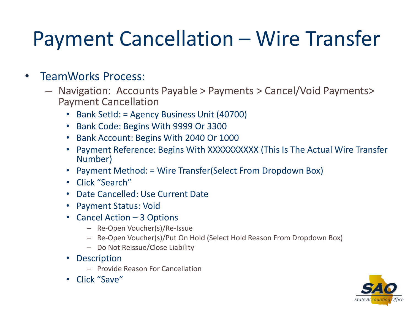# Payment Cancellation – Wire Transfer

#### • TeamWorks Process:

- Navigation: Accounts Payable > Payments > Cancel/Void Payments> Payment Cancellation
	- Bank SetId: = Agency Business Unit (40700)
	- Bank Code: Begins With 9999 Or 3300
	- Bank Account: Begins With 2040 Or 1000
	- Payment Reference: Begins With XXXXXXXXXX (This Is The Actual Wire Transfer Number)
	- Payment Method: = Wire Transfer(Select From Dropdown Box)
	- Click "Search"
	- Date Cancelled: Use Current Date
	- Payment Status: Void
	- Cancel Action 3 Options
		- Re-Open Voucher(s)/Re-Issue
		- Re-Open Voucher(s)/Put On Hold (Select Hold Reason From Dropdown Box)
		- Do Not Reissue/Close Liability
	- Description
		- Provide Reason For Cancellation
	- Click "Save"

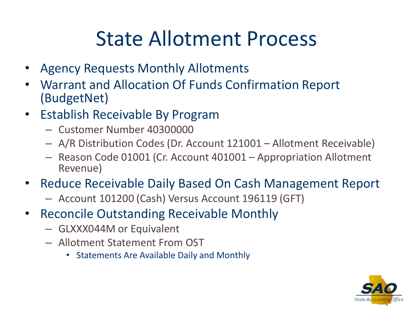### State Allotment Process

- Agency Requests Monthly Allotments
- Warrant and Allocation Of Funds Confirmation Report (BudgetNet)
- Establish Receivable By Program
	- Customer Number 40300000
	- A/R Distribution Codes (Dr. Account 121001 Allotment Receivable)
	- Reason Code 01001 (Cr. Account 401001 Appropriation Allotment Revenue)
- Reduce Receivable Daily Based On Cash Management Report
	- Account 101200 (Cash) Versus Account 196119 (GFT)
- Reconcile Outstanding Receivable Monthly
	- GLXXX044M or Equivalent
	- Allotment Statement From OST
		- Statements Are Available Daily and Monthly

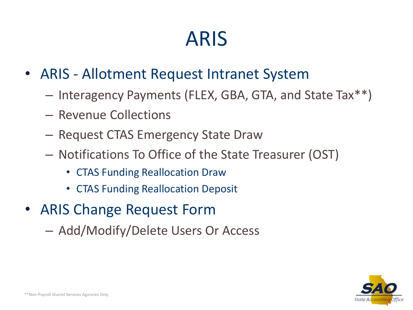### ARIS

- ARIS Allotment Request Intranet System
	- Interagency Payments (FLEX, GBA, GTA, and State Tax\*\*)
	- Revenue Collections
	- Request CTAS Emergency State Draw
	- Notifications To Office of the State Treasurer (OST)
		- CTAS Funding Reallocation Draw
		- CTAS Funding Reallocation Deposit
- ARIS Change Request Form
	- Add/Modify/Delete Users Or Access

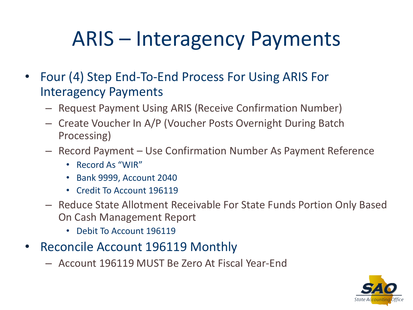# ARIS – Interagency Payments

- Four (4) Step End-To-End Process For Using ARIS For Interagency Payments
	- Request Payment Using ARIS (Receive Confirmation Number)
	- Create Voucher In A/P (Voucher Posts Overnight During Batch Processing)
	- Record Payment Use Confirmation Number As Payment Reference
		- Record As "WIR"
		- Bank 9999, Account 2040
		- Credit To Account 196119
	- Reduce State Allotment Receivable For State Funds Portion Only Based On Cash Management Report
		- Debit To Account 196119
- Reconcile Account 196119 Monthly
	- Account 196119 MUST Be Zero At Fiscal Year-End

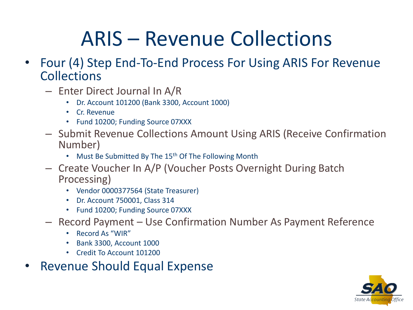# ARIS – Revenue Collections

- Four (4) Step End-To-End Process For Using ARIS For Revenue **Collections** 
	- Enter Direct Journal In A/R
		- Dr. Account 101200 (Bank 3300, Account 1000)
		- Cr. Revenue
		- Fund 10200; Funding Source 07XXX
	- Submit Revenue Collections Amount Using ARIS (Receive Confirmation Number)
		- Must Be Submitted By The 15<sup>th</sup> Of The Following Month
	- Create Voucher In A/P (Voucher Posts Overnight During Batch Processing)
		- Vendor 0000377564 (State Treasurer)
		- Dr. Account 750001, Class 314
		- Fund 10200; Funding Source 07XXX
	- Record Payment Use Confirmation Number As Payment Reference
		- Record As "WIR"
		- Bank 3300, Account 1000
		- Credit To Account 101200
- Revenue Should Equal Expense

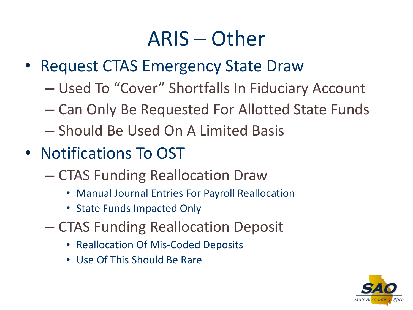### ARIS – Other

- Request CTAS Emergency State Draw
	- Used To "Cover" Shortfalls In Fiduciary Account
	- Can Only Be Requested For Allotted State Funds
	- Should Be Used On A Limited Basis
- Notifications To OST
	- CTAS Funding Reallocation Draw
		- Manual Journal Entries For Payroll Reallocation
		- State Funds Impacted Only
	- CTAS Funding Reallocation Deposit
		- Reallocation Of Mis-Coded Deposits
		- Use Of This Should Be Rare

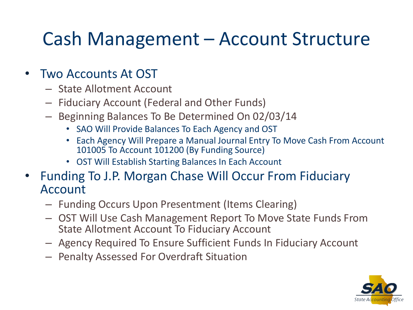#### Cash Management – Account Structure

#### • Two Accounts At OST

- State Allotment Account
- Fiduciary Account (Federal and Other Funds)
- Beginning Balances To Be Determined On 02/03/14
	- SAO Will Provide Balances To Each Agency and OST
	- Each Agency Will Prepare a Manual Journal Entry To Move Cash From Account 101005 To Account 101200 (By Funding Source)
	- OST Will Establish Starting Balances In Each Account
- Funding To J.P. Morgan Chase Will Occur From Fiduciary Account
	- Funding Occurs Upon Presentment (Items Clearing)
	- OST Will Use Cash Management Report To Move State Funds From State Allotment Account To Fiduciary Account
	- Agency Required To Ensure Sufficient Funds In Fiduciary Account
	- Penalty Assessed For Overdraft Situation

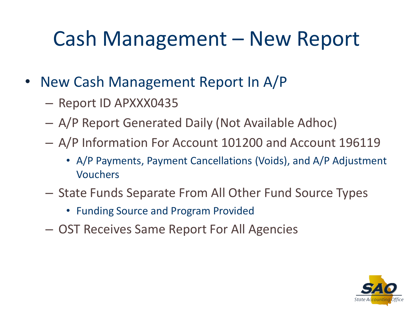# Cash Management – New Report

- New Cash Management Report In A/P
	- Report ID APXXX0435
	- A/P Report Generated Daily (Not Available Adhoc)
	- A/P Information For Account 101200 and Account 196119
		- A/P Payments, Payment Cancellations (Voids), and A/P Adjustment Vouchers
	- State Funds Separate From All Other Fund Source Types
		- Funding Source and Program Provided
	- OST Receives Same Report For All Agencies

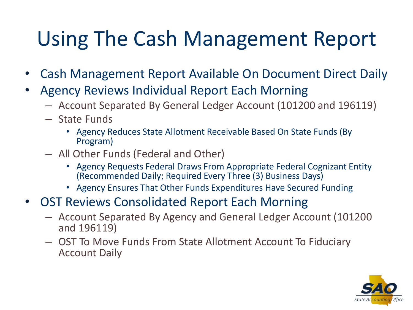# Using The Cash Management Report

- Cash Management Report Available On Document Direct Daily
- Agency Reviews Individual Report Each Morning
	- Account Separated By General Ledger Account (101200 and 196119)
	- State Funds
		- Agency Reduces State Allotment Receivable Based On State Funds (By Program)
	- All Other Funds (Federal and Other)
		- Agency Requests Federal Draws From Appropriate Federal Cognizant Entity (Recommended Daily; Required Every Three (3) Business Days)
		- Agency Ensures That Other Funds Expenditures Have Secured Funding
- OST Reviews Consolidated Report Each Morning
	- Account Separated By Agency and General Ledger Account (101200 and 196119)
	- OST To Move Funds From State Allotment Account To Fiduciary Account Daily

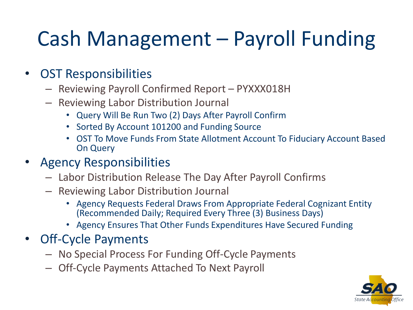# Cash Management – Payroll Funding

#### • OST Responsibilities

- Reviewing Payroll Confirmed Report PYXXX018H
- Reviewing Labor Distribution Journal
	- Query Will Be Run Two (2) Days After Payroll Confirm
	- Sorted By Account 101200 and Funding Source
	- OST To Move Funds From State Allotment Account To Fiduciary Account Based On Query
- Agency Responsibilities
	- Labor Distribution Release The Day After Payroll Confirms
	- Reviewing Labor Distribution Journal
		- Agency Requests Federal Draws From Appropriate Federal Cognizant Entity (Recommended Daily; Required Every Three (3) Business Days)
		- Agency Ensures That Other Funds Expenditures Have Secured Funding
- Off-Cycle Payments
	- No Special Process For Funding Off-Cycle Payments
	- Off-Cycle Payments Attached To Next Payroll

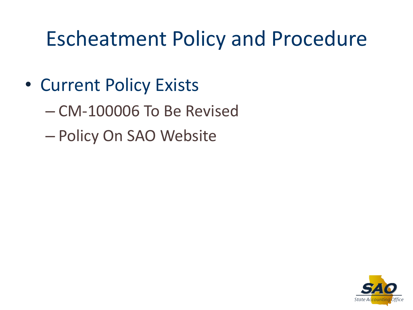### Escheatment Policy and Procedure

- Current Policy Exists
	- CM-100006 To Be Revised
	- Policy On SAO Website

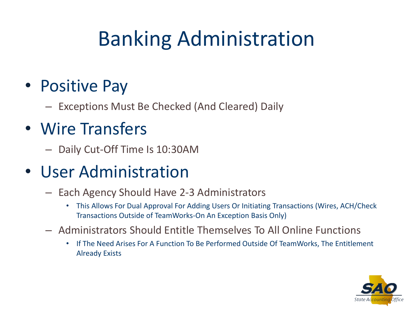# Banking Administration

#### • Positive Pay

– Exceptions Must Be Checked (And Cleared) Daily

#### • Wire Transfers

– Daily Cut-Off Time Is 10:30AM

#### • User Administration

- Each Agency Should Have 2-3 Administrators
	- This Allows For Dual Approval For Adding Users Or Initiating Transactions (Wires, ACH/Check Transactions Outside of TeamWorks-On An Exception Basis Only)
- Administrators Should Entitle Themselves To All Online Functions
	- If The Need Arises For A Function To Be Performed Outside Of TeamWorks, The Entitlement Already Exists

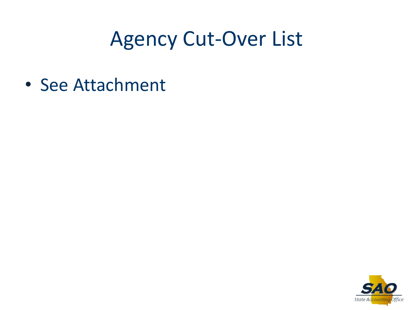### Agency Cut-Over List

• See Attachment

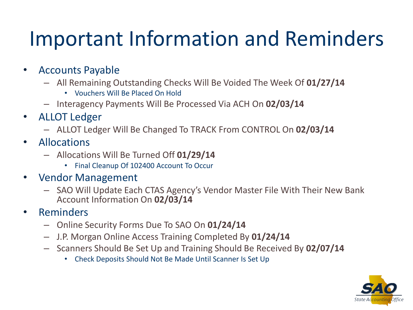# Important Information and Reminders

- Accounts Payable
	- All Remaining Outstanding Checks Will Be Voided The Week Of **01/27/14**
		- Vouchers Will Be Placed On Hold
	- Interagency Payments Will Be Processed Via ACH On **02/03/14**
- ALLOT Ledger
	- ALLOT Ledger Will Be Changed To TRACK From CONTROL On **02/03/14**
- Allocations
	- Allocations Will Be Turned Off **01/29/14**
		- Final Cleanup Of 102400 Account To Occur
- Vendor Management
	- SAO Will Update Each CTAS Agency's Vendor Master File With Their New Bank Account Information On **02/03/14**
- Reminders
	- Online Security Forms Due To SAO On **01/24/14**
	- J.P. Morgan Online Access Training Completed By **01/24/14**
	- Scanners Should Be Set Up and Training Should Be Received By **02/07/14**
		- Check Deposits Should Not Be Made Until Scanner Is Set Up